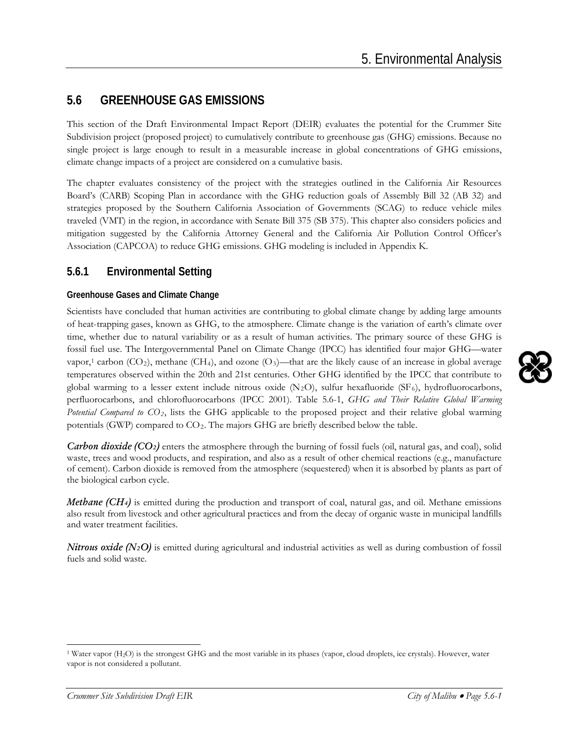# **5.6 GREENHOUSE GAS EMISSIONS**

This section of the Draft Environmental Impact Report (DEIR) evaluates the potential for the Crummer Site Subdivision project (proposed project) to cumulatively contribute to greenhouse gas (GHG) emissions. Because no single project is large enough to result in a measurable increase in global concentrations of GHG emissions, climate change impacts of a project are considered on a cumulative basis.

The chapter evaluates consistency of the project with the strategies outlined in the California Air Resources Board's (CARB) Scoping Plan in accordance with the GHG reduction goals of Assembly Bill 32 (AB 32) and strategies proposed by the Southern California Association of Governments (SCAG) to reduce vehicle miles traveled (VMT) in the region, in accordance with Senate Bill 375 (SB 375). This chapter also considers policies and mitigation suggested by the California Attorney General and the California Air Pollution Control Officer's Association (CAPCOA) to reduce GHG emissions. GHG modeling is included in Appendix K.

### **5.6.1 Environmental Setting**

### **Greenhouse Gases and Climate Change**

Scientists have concluded that human activities are contributing to global climate change by adding large amounts of heat-trapping gases, known as GHG, to the atmosphere. Climate change is the variation of earth's climate over time, whether due to natural variability or as a result of human activities. The primary source of these GHG is fossil fuel use. The Intergovernmental Panel on Climate Change (IPCC) has identified four major GHG—water vapor,<sup>[1](#page-0-0)</sup> carbon (CO<sub>2</sub>), methane (CH<sub>4</sub>), and ozone (O<sub>3</sub>)—that are the likely cause of an increase in global average temperatures observed within the 20th and 21st centuries. Other GHG identified by the IPCC that contribute to global warming to a lesser extent include nitrous oxide  $(N_2O)$ , sulfur hexafluoride (SF<sub>6</sub>), hydrofluorocarbons, perfluorocarbons, and chlorofluorocarbons (IPCC 2001). Table 5.6-1, *GHG and Their Relative Global Warming Potential Compared to CO2*, lists the GHG applicable to the proposed project and their relative global warming potentials (GWP) compared to CO2. The majors GHG are briefly described below the table.

*Carbon dioxide (CO2)* enters the atmosphere through the burning of fossil fuels (oil, natural gas, and coal), solid waste, trees and wood products, and respiration, and also as a result of other chemical reactions (e.g., manufacture of cement). Carbon dioxide is removed from the atmosphere (sequestered) when it is absorbed by plants as part of the biological carbon cycle.

*Methane (CH4)* is emitted during the production and transport of coal, natural gas, and oil. Methane emissions also result from livestock and other agricultural practices and from the decay of organic waste in municipal landfills and water treatment facilities.

*Nitrous oxide (N<sub>2</sub>O)* is emitted during agricultural and industrial activities as well as during combustion of fossil fuels and solid waste.



<span id="page-0-0"></span><sup>1</sup> Water vapor (H2O) is the strongest GHG and the most variable in its phases (vapor, cloud droplets, ice crystals). However, water vapor is not considered a pollutant.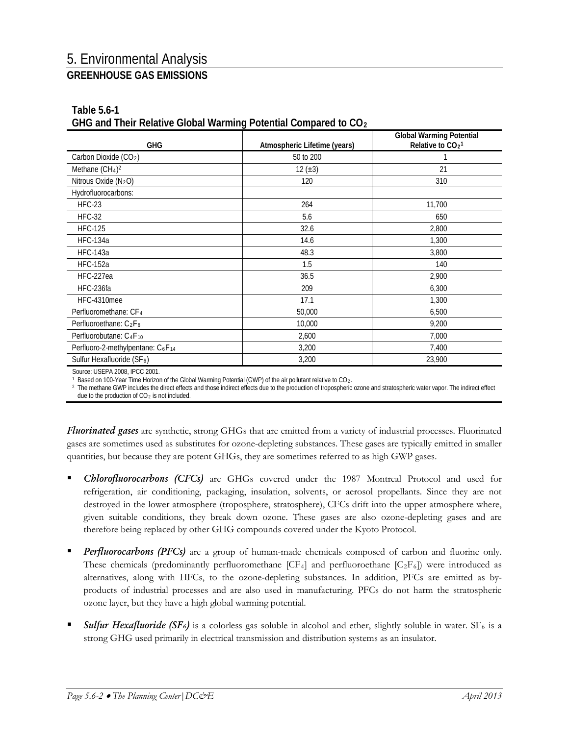| <u>UTIO and Their Keiguve Oluval Warning Putenual Cumpared to CO2</u> |                              |                                                       |  |  |
|-----------------------------------------------------------------------|------------------------------|-------------------------------------------------------|--|--|
| <b>GHG</b>                                                            | Atmospheric Lifetime (years) | <b>Global Warming Potential</b><br>Relative to $CO21$ |  |  |
| Carbon Dioxide (CO <sub>2</sub> )                                     | 50 to 200                    |                                                       |  |  |
| Methane $(CH4)2$                                                      | 12 $(\pm 3)$                 | 21                                                    |  |  |
| Nitrous Oxide $(N_2O)$                                                | 120                          | 310                                                   |  |  |
| Hydrofluorocarbons:                                                   |                              |                                                       |  |  |
| $HFC-23$                                                              | 264                          | 11,700                                                |  |  |
| HFC-32                                                                | 5.6                          | 650                                                   |  |  |
| <b>HFC-125</b>                                                        | 32.6                         | 2,800                                                 |  |  |
| <b>HFC-134a</b>                                                       | 14.6                         | 1,300                                                 |  |  |
| <b>HFC-143a</b>                                                       | 48.3                         | 3,800                                                 |  |  |
| <b>HFC-152a</b>                                                       | 1.5                          | 140                                                   |  |  |
| HFC-227ea                                                             | 36.5                         | 2,900                                                 |  |  |
| HFC-236fa                                                             | 209                          | 6,300                                                 |  |  |
| HFC-4310mee                                                           | 17.1                         | 1,300                                                 |  |  |
| Perfluoromethane: CF <sub>4</sub>                                     | 50,000                       | 6,500                                                 |  |  |
| Perfluoroethane: C <sub>2</sub> F <sub>6</sub>                        | 10,000                       | 9,200                                                 |  |  |
| Perfluorobutane: C <sub>4</sub> F <sub>10</sub>                       | 2,600                        | 7,000                                                 |  |  |
| Perfluoro-2-methylpentane: C <sub>6</sub> F <sub>14</sub>             | 3,200                        | 7,400                                                 |  |  |
| Sulfur Hexafluoride (SF <sub>6</sub> )                                | 3,200                        | 23,900                                                |  |  |

#### **Table 5.6-1 GHG and Their Relative Global Warming Potential Compared to CO2**

Source: USEPA 2008, IPCC 2001.<br><sup>1</sup> Based on 100-Year Time Horizon of the Global Warming Potential (GWP) of the air pollutant relative to CO<sub>2</sub>.

<sup>2</sup> The methane GWP includes the direct effects and those indirect effects due to the production of tropospheric ozone and stratospheric water vapor. The indirect effect due to the production of  $CO<sub>2</sub>$  is not included.

*Fluorinated gases* are synthetic, strong GHGs that are emitted from a variety of industrial processes. Fluorinated gases are sometimes used as substitutes for ozone-depleting substances. These gases are typically emitted in smaller quantities, but because they are potent GHGs, they are sometimes referred to as high GWP gases.

- *Chlorofluorocarbons (CFCs)* are GHGs covered under the 1987 Montreal Protocol and used for refrigeration, air conditioning, packaging, insulation, solvents, or aerosol propellants. Since they are not destroyed in the lower atmosphere (troposphere, stratosphere), CFCs drift into the upper atmosphere where, given suitable conditions, they break down ozone. These gases are also ozone-depleting gases and are therefore being replaced by other GHG compounds covered under the Kyoto Protocol.
- *Perfluorocarbons (PFCs)* are a group of human-made chemicals composed of carbon and fluorine only. These chemicals (predominantly perfluoromethane  $[CF_4]$  and perfluoroethane  $[C_2F_6]$ ) were introduced as alternatives, along with HFCs, to the ozone-depleting substances. In addition, PFCs are emitted as byproducts of industrial processes and are also used in manufacturing. PFCs do not harm the stratospheric ozone layer, but they have a high global warming potential.
- **Sulfur Hexafluoride (SF6)** is a colorless gas soluble in alcohol and ether, slightly soluble in water.  $SF_6$  is a strong GHG used primarily in electrical transmission and distribution systems as an insulator.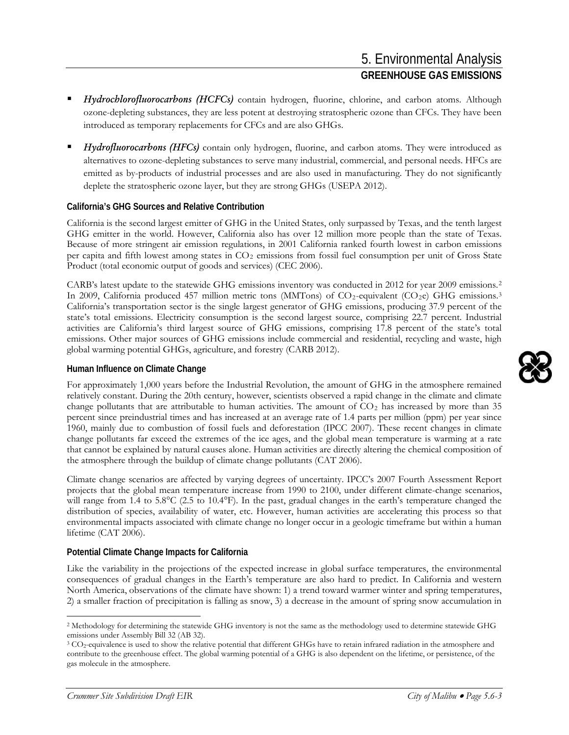- *Hydrochlorofluorocarbons (HCFCs)* contain hydrogen, fluorine, chlorine, and carbon atoms. Although ozone-depleting substances, they are less potent at destroying stratospheric ozone than CFCs. They have been introduced as temporary replacements for CFCs and are also GHGs.
- *Hydrofluorocarbons (HFCs)* contain only hydrogen, fluorine, and carbon atoms. They were introduced as alternatives to ozone-depleting substances to serve many industrial, commercial, and personal needs. HFCs are emitted as by-products of industrial processes and are also used in manufacturing. They do not significantly deplete the stratospheric ozone layer, but they are strong GHGs (USEPA 2012).

#### **California's GHG Sources and Relative Contribution**

California is the second largest emitter of GHG in the United States, only surpassed by Texas, and the tenth largest GHG emitter in the world. However, California also has over 12 million more people than the state of Texas. Because of more stringent air emission regulations, in 2001 California ranked fourth lowest in carbon emissions per capita and fifth lowest among states in CO<sub>2</sub> emissions from fossil fuel consumption per unit of Gross State Product (total economic output of goods and services) (CEC 2006).

CARB's latest update to the statewide GHG emissions inventory was conducted in 2012 for year 2009 emissions.[2](#page-2-0) In 2009, California produced 457 million metric tons (MMTons) of  $CO_2$ -equivalent ( $CO_2$ e) GHG emissions.<sup>[3](#page-2-1)</sup> California's transportation sector is the single largest generator of GHG emissions, producing 37.9 percent of the state's total emissions. Electricity consumption is the second largest source, comprising 22.7 percent. Industrial activities are California's third largest source of GHG emissions, comprising 17.8 percent of the state's total emissions. Other major sources of GHG emissions include commercial and residential, recycling and waste, high global warming potential GHGs, agriculture, and forestry (CARB 2012).

#### **Human Influence on Climate Change**

For approximately 1,000 years before the Industrial Revolution, the amount of GHG in the atmosphere remained relatively constant. During the 20th century, however, scientists observed a rapid change in the climate and climate change pollutants that are attributable to human activities. The amount of  $CO<sub>2</sub>$  has increased by more than 35 percent since preindustrial times and has increased at an average rate of 1.4 parts per million (ppm) per year since 1960, mainly due to combustion of fossil fuels and deforestation (IPCC 2007). These recent changes in climate change pollutants far exceed the extremes of the ice ages, and the global mean temperature is warming at a rate that cannot be explained by natural causes alone. Human activities are directly altering the chemical composition of the atmosphere through the buildup of climate change pollutants (CAT 2006).

Climate change scenarios are affected by varying degrees of uncertainty. IPCC's 2007 Fourth Assessment Report projects that the global mean temperature increase from 1990 to 2100, under different climate-change scenarios, will range from 1.4 to 5.8°C (2.5 to 10.4°F). In the past, gradual changes in the earth's temperature changed the distribution of species, availability of water, etc. However, human activities are accelerating this process so that environmental impacts associated with climate change no longer occur in a geologic timeframe but within a human lifetime (CAT 2006).

#### **Potential Climate Change Impacts for California**

Like the variability in the projections of the expected increase in global surface temperatures, the environmental consequences of gradual changes in the Earth's temperature are also hard to predict. In California and western North America, observations of the climate have shown: 1) a trend toward warmer winter and spring temperatures, 2) a smaller fraction of precipitation is falling as snow, 3) a decrease in the amount of spring snow accumulation in



<span id="page-2-0"></span><sup>2</sup> Methodology for determining the statewide GHG inventory is not the same as the methodology used to determine statewide GHG emissions under Assembly Bill 32 (AB 32).

<span id="page-2-1"></span><sup>&</sup>lt;sup>3</sup> CO<sub>2</sub>-equivalence is used to show the relative potential that different GHGs have to retain infrared radiation in the atmosphere and contribute to the greenhouse effect. The global warming potential of a GHG is also dependent on the lifetime, or persistence, of the gas molecule in the atmosphere.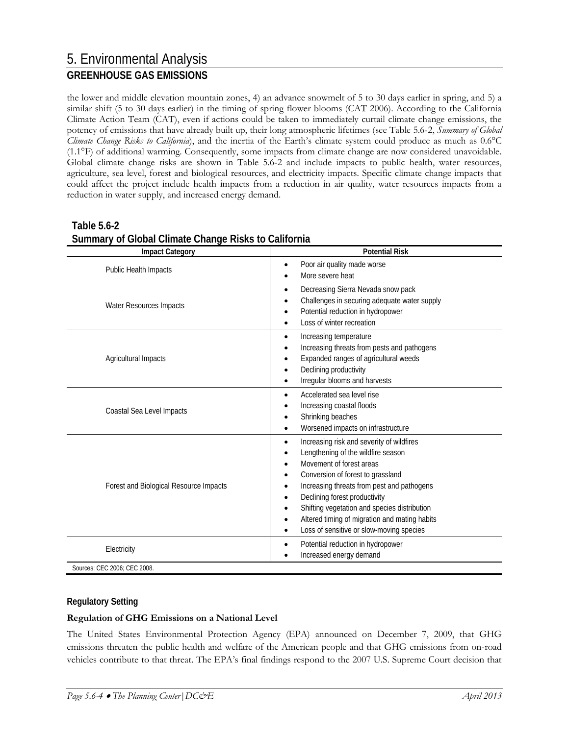the lower and middle elevation mountain zones, 4) an advance snowmelt of 5 to 30 days earlier in spring, and 5) a similar shift (5 to 30 days earlier) in the timing of spring flower blooms (CAT 2006). According to the California Climate Action Team (CAT), even if actions could be taken to immediately curtail climate change emissions, the potency of emissions that have already built up, their long atmospheric lifetimes (see Table 5.6-2, *Summary of Global Climate Change Risks to California*), and the inertia of the Earth's climate system could produce as much as 0.6°C (1.1°F) of additional warming. Consequently, some impacts from climate change are now considered unavoidable. Global climate change risks are shown in Table 5.6-2 and include impacts to public health, water resources, agriculture, sea level, forest and biological resources, and electricity impacts. Specific climate change impacts that could affect the project include health impacts from a reduction in air quality, water resources impacts from a reduction in water supply, and increased energy demand.

| <b>Impact Category</b>                 | <b>Potential Risk</b>                                                                                                                                                                                                                                                                                                                                                                     |  |
|----------------------------------------|-------------------------------------------------------------------------------------------------------------------------------------------------------------------------------------------------------------------------------------------------------------------------------------------------------------------------------------------------------------------------------------------|--|
| Public Health Impacts                  | Poor air quality made worse<br>More severe heat                                                                                                                                                                                                                                                                                                                                           |  |
| Water Resources Impacts                | Decreasing Sierra Nevada snow pack<br>$\bullet$<br>Challenges in securing adequate water supply<br>Potential reduction in hydropower<br>Loss of winter recreation                                                                                                                                                                                                                         |  |
| Agricultural Impacts                   | Increasing temperature<br>$\bullet$<br>Increasing threats from pests and pathogens<br>Expanded ranges of agricultural weeds<br>Declining productivity<br>Irregular blooms and harvests                                                                                                                                                                                                    |  |
| Coastal Sea Level Impacts              | Accelerated sea level rise<br>Increasing coastal floods<br>Shrinking beaches<br>Worsened impacts on infrastructure                                                                                                                                                                                                                                                                        |  |
| Forest and Biological Resource Impacts | Increasing risk and severity of wildfires<br>$\bullet$<br>Lengthening of the wildfire season<br>Movement of forest areas<br>Conversion of forest to grassland<br>Increasing threats from pest and pathogens<br>Declining forest productivity<br>Shifting vegetation and species distribution<br>Altered timing of migration and mating habits<br>Loss of sensitive or slow-moving species |  |
| Electricity                            | Potential reduction in hydropower<br>Increased energy demand                                                                                                                                                                                                                                                                                                                              |  |

### **Table 5.6-2 Summary of Global Climate Change Risks to California**

### **Regulatory Setting**

#### **Regulation of GHG Emissions on a National Level**

The United States Environmental Protection Agency (EPA) announced on December 7, 2009, that GHG emissions threaten the public health and welfare of the American people and that GHG emissions from on-road vehicles contribute to that threat. The EPA's final findings respond to the 2007 U.S. Supreme Court decision that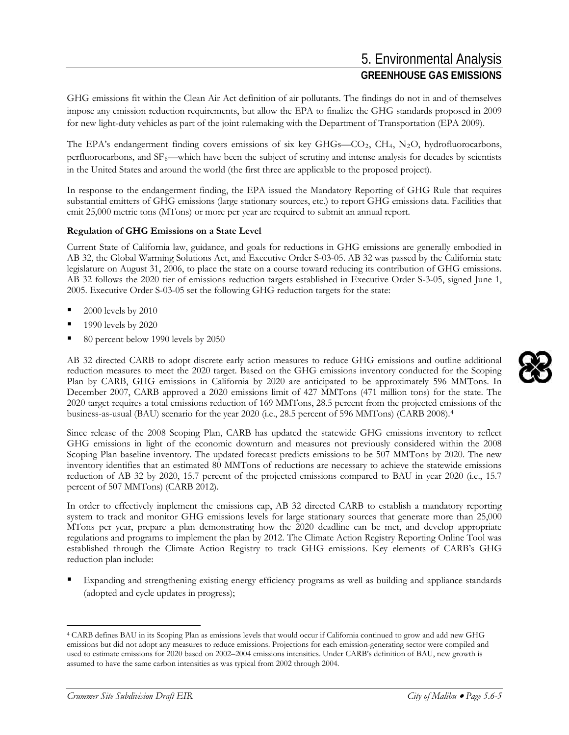GHG emissions fit within the Clean Air Act definition of air pollutants. The findings do not in and of themselves impose any emission reduction requirements, but allow the EPA to finalize the GHG standards proposed in 2009 for new light-duty vehicles as part of the joint rulemaking with the Department of Transportation (EPA 2009).

The EPA's endangerment finding covers emissions of six key GHGs—CO<sub>2</sub>, CH<sub>4</sub>, N<sub>2</sub>O, hydrofluorocarbons, perfluorocarbons, and SF6—which have been the subject of scrutiny and intense analysis for decades by scientists in the United States and around the world (the first three are applicable to the proposed project).

In response to the endangerment finding, the EPA issued the Mandatory Reporting of GHG Rule that requires substantial emitters of GHG emissions (large stationary sources, etc.) to report GHG emissions data. Facilities that emit 25,000 metric tons (MTons) or more per year are required to submit an annual report.

#### **Regulation of GHG Emissions on a State Level**

Current State of California law, guidance, and goals for reductions in GHG emissions are generally embodied in AB 32, the Global Warming Solutions Act, and Executive Order S-03-05. AB 32 was passed by the California state legislature on August 31, 2006, to place the state on a course toward reducing its contribution of GHG emissions. AB 32 follows the 2020 tier of emissions reduction targets established in Executive Order S-3-05, signed June 1, 2005. Executive Order S-03-05 set the following GHG reduction targets for the state:

- 2000 levels by 2010
- 1990 levels by 2020
- 80 percent below 1990 levels by 2050

AB 32 directed CARB to adopt discrete early action measures to reduce GHG emissions and outline additional reduction measures to meet the 2020 target. Based on the GHG emissions inventory conducted for the Scoping Plan by CARB, GHG emissions in California by 2020 are anticipated to be approximately 596 MMTons. In December 2007, CARB approved a 2020 emissions limit of 427 MMTons (471 million tons) for the state. The 2020 target requires a total emissions reduction of 169 MMTons, 28.5 percent from the projected emissions of the business-as-usual (BAU) scenario for the year 2020 (i.e., 28.5 percent of 596 MMTons) (CARB 2008).[4](#page-4-0)

Since release of the 2008 Scoping Plan, CARB has updated the statewide GHG emissions inventory to reflect GHG emissions in light of the economic downturn and measures not previously considered within the 2008 Scoping Plan baseline inventory. The updated forecast predicts emissions to be 507 MMTons by 2020. The new inventory identifies that an estimated 80 MMTons of reductions are necessary to achieve the statewide emissions reduction of AB 32 by 2020, 15.7 percent of the projected emissions compared to BAU in year 2020 (i.e., 15.7 percent of 507 MMTons) (CARB 2012).

In order to effectively implement the emissions cap, AB 32 directed CARB to establish a mandatory reporting system to track and monitor GHG emissions levels for large stationary sources that generate more than 25,000 MTons per year, prepare a plan demonstrating how the 2020 deadline can be met, and develop appropriate regulations and programs to implement the plan by 2012. The Climate Action Registry Reporting Online Tool was established through the Climate Action Registry to track GHG emissions. Key elements of CARB's GHG reduction plan include:

 Expanding and strengthening existing energy efficiency programs as well as building and appliance standards (adopted and cycle updates in progress);



<span id="page-4-0"></span><sup>4</sup> CARB defines BAU in its Scoping Plan as emissions levels that would occur if California continued to grow and add new GHG emissions but did not adopt any measures to reduce emissions. Projections for each emission-generating sector were compiled and used to estimate emissions for 2020 based on 2002–2004 emissions intensities. Under CARB's definition of BAU, new growth is assumed to have the same carbon intensities as was typical from 2002 through 2004.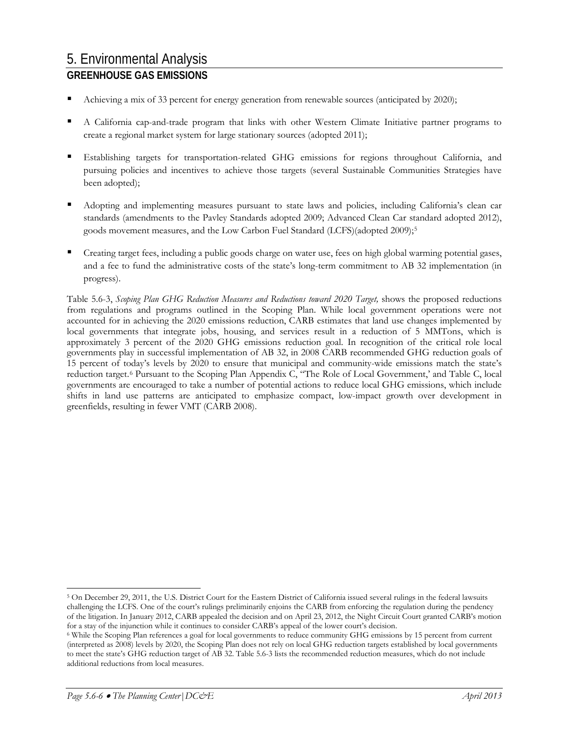- Achieving a mix of 33 percent for energy generation from renewable sources (anticipated by 2020);
- A California cap-and-trade program that links with other Western Climate Initiative partner programs to create a regional market system for large stationary sources (adopted 2011);
- Establishing targets for transportation-related GHG emissions for regions throughout California, and pursuing policies and incentives to achieve those targets (several Sustainable Communities Strategies have been adopted);
- Adopting and implementing measures pursuant to state laws and policies, including California's clean car standards (amendments to the Pavley Standards adopted 2009; Advanced Clean Car standard adopted 2012), goods movement measures, and the Low Carbon Fuel Standard (LCFS)(adopted 2009);[5](#page-5-0)
- Creating target fees, including a public goods charge on water use, fees on high global warming potential gases, and a fee to fund the administrative costs of the state's long-term commitment to AB 32 implementation (in progress).

Table 5.6-3, *Scoping Plan GHG Reduction Measures and Reductions toward 2020 Target,* shows the proposed reductions from regulations and programs outlined in the Scoping Plan. While local government operations were not accounted for in achieving the 2020 emissions reduction, CARB estimates that land use changes implemented by local governments that integrate jobs, housing, and services result in a reduction of 5 MMTons, which is approximately 3 percent of the 2020 GHG emissions reduction goal. In recognition of the critical role local governments play in successful implementation of AB 32, in 2008 CARB recommended GHG reduction goals of 15 percent of today's levels by 2020 to ensure that municipal and community-wide emissions match the state's reduction target.[6](#page-5-1) Pursuant to the Scoping Plan Appendix C, "The Role of Local Government,' and Table C, local governments are encouraged to take a number of potential actions to reduce local GHG emissions, which include shifts in land use patterns are anticipated to emphasize compact, low-impact growth over development in greenfields, resulting in fewer VMT (CARB 2008).

<span id="page-5-0"></span><sup>5</sup> On December 29, 2011, the U.S. District Court for the Eastern District of California issued several rulings in the federal lawsuits challenging the LCFS. One of the court's rulings preliminarily enjoins the CARB from enforcing the regulation during the pendency of the litigation. In January 2012, CARB appealed the decision and on April 23, 2012, the Night Circuit Court granted CARB's motion for a stay of the injunction while it continues to consider CARB's appeal of the lower court's decision.

<span id="page-5-1"></span><sup>6</sup> While the Scoping Plan references a goal for local governments to reduce community GHG emissions by 15 percent from current (interpreted as 2008) levels by 2020, the Scoping Plan does not rely on local GHG reduction targets established by local governments to meet the state's GHG reduction target of AB 32. Table 5.6-3 lists the recommended reduction measures, which do not include additional reductions from local measures.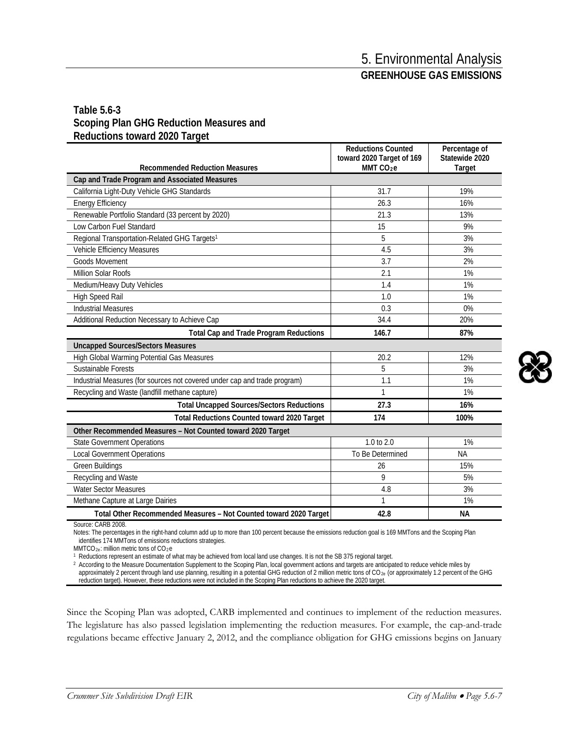### **Table 5.6-3 Scoping Plan GHG Reduction Measures and Reductions toward 2020 Target**

|                                                                           | <b>Reductions Counted</b><br>toward 2020 Target of 169 | Percentage of<br>Statewide 2020 |  |  |
|---------------------------------------------------------------------------|--------------------------------------------------------|---------------------------------|--|--|
| <b>Recommended Reduction Measures</b>                                     | MMT CO <sub>2</sub> e                                  | Target                          |  |  |
| Cap and Trade Program and Associated Measures                             |                                                        |                                 |  |  |
| California Light-Duty Vehicle GHG Standards                               | 31.7                                                   | 19%                             |  |  |
| <b>Energy Efficiency</b>                                                  | 26.3                                                   | 16%                             |  |  |
| Renewable Portfolio Standard (33 percent by 2020)                         | 21.3                                                   | 13%                             |  |  |
| Low Carbon Fuel Standard                                                  | 15                                                     | 9%                              |  |  |
| Regional Transportation-Related GHG Targets <sup>1</sup>                  | 5                                                      | 3%                              |  |  |
| Vehicle Efficiency Measures                                               | 4.5                                                    | 3%                              |  |  |
| <b>Goods Movement</b>                                                     | 3.7                                                    | 2%                              |  |  |
| Million Solar Roofs                                                       | 2.1                                                    | 1%                              |  |  |
| Medium/Heavy Duty Vehicles                                                | 1.4                                                    | 1%                              |  |  |
| <b>High Speed Rail</b>                                                    | 1.0                                                    | 1%                              |  |  |
| <b>Industrial Measures</b>                                                | 0.3                                                    | 0%                              |  |  |
| Additional Reduction Necessary to Achieve Cap                             | 34.4                                                   | 20%                             |  |  |
| <b>Total Cap and Trade Program Reductions</b>                             | 146.7                                                  | 87%                             |  |  |
| <b>Uncapped Sources/Sectors Measures</b>                                  |                                                        |                                 |  |  |
| High Global Warming Potential Gas Measures                                | 20.2                                                   | 12%                             |  |  |
| Sustainable Forests                                                       | 5                                                      | 3%                              |  |  |
| Industrial Measures (for sources not covered under cap and trade program) | 1.1                                                    | 1%                              |  |  |
| Recycling and Waste (landfill methane capture)                            | 1                                                      | 1%                              |  |  |
| <b>Total Uncapped Sources/Sectors Reductions</b>                          | 27.3                                                   | 16%                             |  |  |
| <b>Total Reductions Counted toward 2020 Target</b>                        | 174                                                    | 100%                            |  |  |
| Other Recommended Measures - Not Counted toward 2020 Target               |                                                        |                                 |  |  |
| <b>State Government Operations</b>                                        | $1.0$ to $2.0$                                         | 1%                              |  |  |
| <b>Local Government Operations</b>                                        | To Be Determined                                       | <b>NA</b>                       |  |  |
| Green Buildings                                                           | 26                                                     | 15%                             |  |  |
| Recycling and Waste                                                       | 9                                                      | 5%                              |  |  |
| <b>Water Sector Measures</b>                                              | 4.8                                                    | 3%                              |  |  |
| Methane Capture at Large Dairies                                          | 1                                                      | 1%                              |  |  |
| Total Other Recommended Measures - Not Counted toward 2020 Target         | 42.8                                                   | <b>NA</b>                       |  |  |

Source: CARB 2008.

Notes: The percentages in the right-hand column add up to more than 100 percent because the emissions reduction goal is 169 MMTons and the Scoping Plan identifies 174 MMTons of emissions reductions strategies.

MMTCO<sub>2e</sub>: million metric tons of CO<sub>2</sub>e

<sup>1</sup> Reductions represent an estimate of what may be achieved from local land use changes. It is not the SB 375 regional target.

2 According to the Measure Documentation Supplement to the Scoping Plan, local government actions and targets are anticipated to reduce vehicle miles by approximately 2 percent through land use planning, resulting in a potential GHG reduction of 2 million metric tons of CO<sub>2e</sub> (or approximately 1.2 percent of the GHG reduction target). However, these reductions were not included in the Scoping Plan reductions to achieve the 2020 target.

Since the Scoping Plan was adopted, CARB implemented and continues to implement of the reduction measures. The legislature has also passed legislation implementing the reduction measures. For example, the cap-and-trade regulations became effective January 2, 2012, and the compliance obligation for GHG emissions begins on January

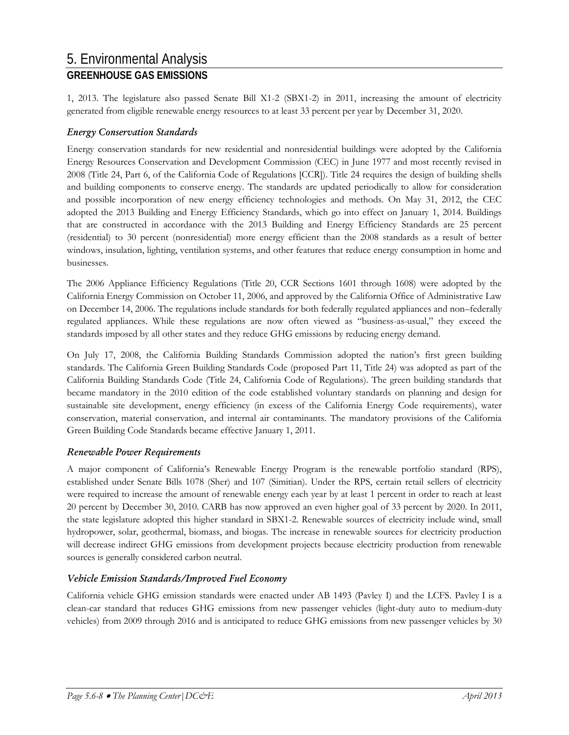1, 2013. The legislature also passed Senate Bill X1-2 (SBX1-2) in 2011, increasing the amount of electricity generated from eligible renewable energy resources to at least 33 percent per year by December 31, 2020.

### *Energy Conservation Standards*

Energy conservation standards for new residential and nonresidential buildings were adopted by the California Energy Resources Conservation and Development Commission (CEC) in June 1977 and most recently revised in 2008 (Title 24, Part 6, of the California Code of Regulations [CCR]). Title 24 requires the design of building shells and building components to conserve energy. The standards are updated periodically to allow for consideration and possible incorporation of new energy efficiency technologies and methods. On May 31, 2012, the CEC adopted the 2013 Building and Energy Efficiency Standards, which go into effect on January 1, 2014. Buildings that are constructed in accordance with the 2013 Building and Energy Efficiency Standards are 25 percent (residential) to 30 percent (nonresidential) more energy efficient than the 2008 standards as a result of better windows, insulation, lighting, ventilation systems, and other features that reduce energy consumption in home and businesses.

The 2006 Appliance Efficiency Regulations (Title 20, CCR Sections 1601 through 1608) were adopted by the California Energy Commission on October 11, 2006, and approved by the California Office of Administrative Law on December 14, 2006. The regulations include standards for both federally regulated appliances and non–federally regulated appliances. While these regulations are now often viewed as "business-as-usual," they exceed the standards imposed by all other states and they reduce GHG emissions by reducing energy demand.

On July 17, 2008, the California Building Standards Commission adopted the nation's first green building standards. The California Green Building Standards Code (proposed Part 11, Title 24) was adopted as part of the California Building Standards Code (Title 24, California Code of Regulations). The green building standards that became mandatory in the 2010 edition of the code established voluntary standards on planning and design for sustainable site development, energy efficiency (in excess of the California Energy Code requirements), water conservation, material conservation, and internal air contaminants. The mandatory provisions of the California Green Building Code Standards became effective January 1, 2011.

### *Renewable Power Requirements*

A major component of California's Renewable Energy Program is the renewable portfolio standard (RPS), established under Senate Bills 1078 (Sher) and 107 (Simitian). Under the RPS, certain retail sellers of electricity were required to increase the amount of renewable energy each year by at least 1 percent in order to reach at least 20 percent by December 30, 2010. CARB has now approved an even higher goal of 33 percent by 2020. In 2011, the state legislature adopted this higher standard in SBX1-2. Renewable sources of electricity include wind, small hydropower, solar, geothermal, biomass, and biogas. The increase in renewable sources for electricity production will decrease indirect GHG emissions from development projects because electricity production from renewable sources is generally considered carbon neutral.

### *Vehicle Emission Standards/Improved Fuel Economy*

California vehicle GHG emission standards were enacted under AB 1493 (Pavley I) and the LCFS. Pavley I is a clean-car standard that reduces GHG emissions from new passenger vehicles (light-duty auto to medium-duty vehicles) from 2009 through 2016 and is anticipated to reduce GHG emissions from new passenger vehicles by 30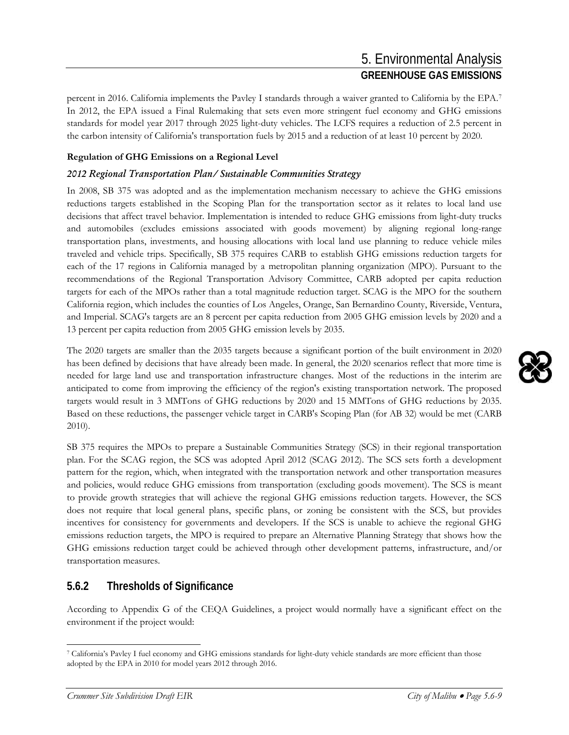percent in 2016. California implements the Pavley I standards through a waiver granted to California by the EPA.[7](#page-8-0) In 2012, the EPA issued a Final Rulemaking that sets even more stringent fuel economy and GHG emissions standards for model year 2017 through 2025 light-duty vehicles. The LCFS requires a reduction of 2.5 percent in the carbon intensity of California's transportation fuels by 2015 and a reduction of at least 10 percent by 2020.

#### **Regulation of GHG Emissions on a Regional Level**

### *2012 Regional Transportation Plan/ Sustainable Communities Strategy*

In 2008, SB 375 was adopted and as the implementation mechanism necessary to achieve the GHG emissions reductions targets established in the Scoping Plan for the transportation sector as it relates to local land use decisions that affect travel behavior. Implementation is intended to reduce GHG emissions from light-duty trucks and automobiles (excludes emissions associated with goods movement) by aligning regional long-range transportation plans, investments, and housing allocations with local land use planning to reduce vehicle miles traveled and vehicle trips. Specifically, SB 375 requires CARB to establish GHG emissions reduction targets for each of the 17 regions in California managed by a metropolitan planning organization (MPO). Pursuant to the recommendations of the Regional Transportation Advisory Committee, CARB adopted per capita reduction targets for each of the MPOs rather than a total magnitude reduction target. SCAG is the MPO for the southern California region, which includes the counties of Los Angeles, Orange, San Bernardino County, Riverside, Ventura, and Imperial. SCAG's targets are an 8 percent per capita reduction from 2005 GHG emission levels by 2020 and a 13 percent per capita reduction from 2005 GHG emission levels by 2035.

The 2020 targets are smaller than the 2035 targets because a significant portion of the built environment in 2020 has been defined by decisions that have already been made. In general, the 2020 scenarios reflect that more time is needed for large land use and transportation infrastructure changes. Most of the reductions in the interim are anticipated to come from improving the efficiency of the region's existing transportation network. The proposed targets would result in 3 MMTons of GHG reductions by 2020 and 15 MMTons of GHG reductions by 2035. Based on these reductions, the passenger vehicle target in CARB's Scoping Plan (for AB 32) would be met (CARB 2010).

SB 375 requires the MPOs to prepare a Sustainable Communities Strategy (SCS) in their regional transportation plan. For the SCAG region, the SCS was adopted April 2012 (SCAG 2012). The SCS sets forth a development pattern for the region, which, when integrated with the transportation network and other transportation measures and policies, would reduce GHG emissions from transportation (excluding goods movement). The SCS is meant to provide growth strategies that will achieve the regional GHG emissions reduction targets. However, the SCS does not require that local general plans, specific plans, or zoning be consistent with the SCS, but provides incentives for consistency for governments and developers. If the SCS is unable to achieve the regional GHG emissions reduction targets, the MPO is required to prepare an Alternative Planning Strategy that shows how the GHG emissions reduction target could be achieved through other development patterns, infrastructure, and/or transportation measures.

### **5.6.2 Thresholds of Significance**

According to Appendix G of the CEQA Guidelines, a project would normally have a significant effect on the environment if the project would:



<span id="page-8-0"></span><sup>7</sup> California's Pavley I fuel economy and GHG emissions standards for light-duty vehicle standards are more efficient than those adopted by the EPA in 2010 for model years 2012 through 2016.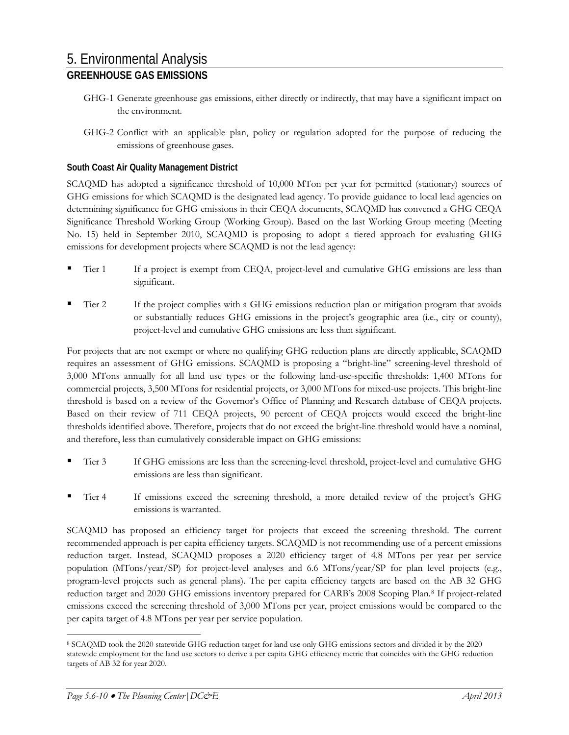- GHG-1 Generate greenhouse gas emissions, either directly or indirectly, that may have a significant impact on the environment.
- GHG-2 Conflict with an applicable plan, policy or regulation adopted for the purpose of reducing the emissions of greenhouse gases.

### **South Coast Air Quality Management District**

SCAQMD has adopted a significance threshold of 10,000 MTon per year for permitted (stationary) sources of GHG emissions for which SCAQMD is the designated lead agency. To provide guidance to local lead agencies on determining significance for GHG emissions in their CEQA documents, SCAQMD has convened a GHG CEQA Significance Threshold Working Group (Working Group). Based on the last Working Group meeting (Meeting No. 15) held in September 2010, SCAQMD is proposing to adopt a tiered approach for evaluating GHG emissions for development projects where SCAQMD is not the lead agency:

- Tier 1 If a project is exempt from CEQA, project-level and cumulative GHG emissions are less than significant.
- Tier 2 If the project complies with a GHG emissions reduction plan or mitigation program that avoids or substantially reduces GHG emissions in the project's geographic area (i.e., city or county), project-level and cumulative GHG emissions are less than significant.

For projects that are not exempt or where no qualifying GHG reduction plans are directly applicable, SCAQMD requires an assessment of GHG emissions. SCAQMD is proposing a "bright-line" screening-level threshold of 3,000 MTons annually for all land use types or the following land-use-specific thresholds: 1,400 MTons for commercial projects, 3,500 MTons for residential projects, or 3,000 MTons for mixed-use projects. This bright-line threshold is based on a review of the Governor's Office of Planning and Research database of CEQA projects. Based on their review of 711 CEQA projects, 90 percent of CEQA projects would exceed the bright-line thresholds identified above. Therefore, projects that do not exceed the bright-line threshold would have a nominal, and therefore, less than cumulatively considerable impact on GHG emissions:

- Tier 3 If GHG emissions are less than the screening-level threshold, project-level and cumulative GHG emissions are less than significant.
- Tier 4 If emissions exceed the screening threshold, a more detailed review of the project's GHG emissions is warranted.

SCAQMD has proposed an efficiency target for projects that exceed the screening threshold. The current recommended approach is per capita efficiency targets. SCAQMD is not recommending use of a percent emissions reduction target. Instead, SCAQMD proposes a 2020 efficiency target of 4.8 MTons per year per service population (MTons/year/SP) for project-level analyses and 6.6 MTons/year/SP for plan level projects (e.g., program-level projects such as general plans). The per capita efficiency targets are based on the AB 32 GHG reduction target and 2020 GHG emissions inventory prepared for CARB's 2008 Scoping Plan.[8](#page-9-0) If project-related emissions exceed the screening threshold of 3,000 MTons per year, project emissions would be compared to the per capita target of 4.8 MTons per year per service population.

<span id="page-9-0"></span> $\overline{a}$ <sup>8</sup> SCAQMD took the 2020 statewide GHG reduction target for land use only GHG emissions sectors and divided it by the 2020 statewide employment for the land use sectors to derive a per capita GHG efficiency metric that coincides with the GHG reduction targets of AB 32 for year 2020.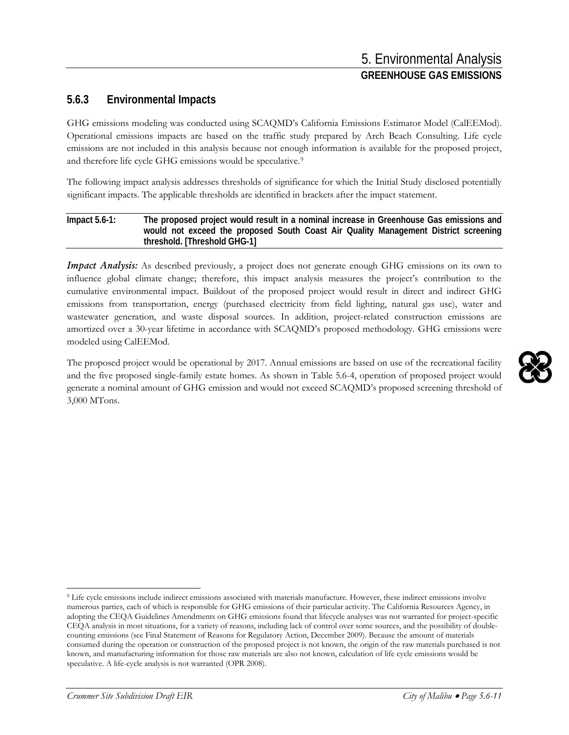### **5.6.3 Environmental Impacts**

GHG emissions modeling was conducted using SCAQMD's California Emissions Estimator Model (CalEEMod). Operational emissions impacts are based on the traffic study prepared by Arch Beach Consulting. Life cycle emissions are not included in this analysis because not enough information is available for the proposed project, and therefore life cycle GHG emissions would be speculative.<sup>[9](#page-10-0)</sup>

The following impact analysis addresses thresholds of significance for which the Initial Study disclosed potentially significant impacts. The applicable thresholds are identified in brackets after the impact statement.

#### **Impact 5.6-1: The proposed project would result in a nominal increase in Greenhouse Gas emissions and would not exceed the proposed South Coast Air Quality Management District screening threshold. [Threshold GHG-1]**

*Impact Analysis:* As described previously, a project does not generate enough GHG emissions on its own to influence global climate change; therefore, this impact analysis measures the project's contribution to the cumulative environmental impact. Buildout of the proposed project would result in direct and indirect GHG emissions from transportation, energy (purchased electricity from field lighting, natural gas use), water and wastewater generation, and waste disposal sources. In addition, project-related construction emissions are amortized over a 30-year lifetime in accordance with SCAQMD's proposed methodology. GHG emissions were modeled using CalEEMod.

The proposed project would be operational by 2017. Annual emissions are based on use of the recreational facility and the five proposed single-family estate homes. As shown in Table 5.6-4, operation of proposed project would generate a nominal amount of GHG emission and would not exceed SCAQMD's proposed screening threshold of 3,000 MTons.

<span id="page-10-0"></span> $\ddot{ }$ <sup>9</sup> Life cycle emissions include indirect emissions associated with materials manufacture. However, these indirect emissions involve numerous parties, each of which is responsible for GHG emissions of their particular activity. The California Resources Agency, in adopting the CEQA Guidelines Amendments on GHG emissions found that lifecycle analyses was not warranted for project-specific CEQA analysis in most situations, for a variety of reasons, including lack of control over some sources, and the possibility of doublecounting emissions (see Final Statement of Reasons for Regulatory Action, December 2009). Because the amount of materials consumed during the operation or construction of the proposed project is not known, the origin of the raw materials purchased is not known, and manufacturing information for those raw materials are also not known, calculation of life cycle emissions would be speculative. A life-cycle analysis is not warranted (OPR 2008).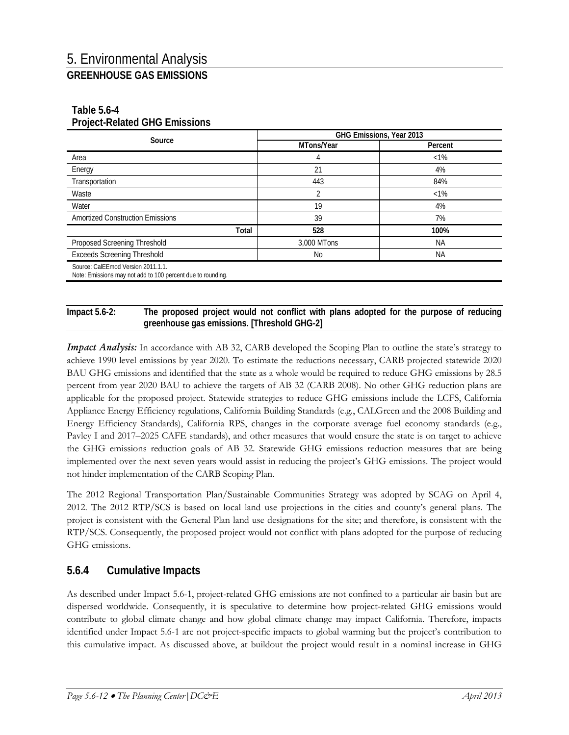### **Table 5.6-4 Project-Related GHG Emissions**

| Source                                                                                            | GHG Emissions, Year 2013 |           |  |
|---------------------------------------------------------------------------------------------------|--------------------------|-----------|--|
|                                                                                                   | MTons/Year               | Percent   |  |
| Area                                                                                              | 4                        | $<1\%$    |  |
| Energy                                                                                            | 21                       | 4%        |  |
| Transportation                                                                                    | 443                      | 84%       |  |
| Waste                                                                                             | 2                        | $<1\%$    |  |
| Water                                                                                             | 19                       | 4%        |  |
| <b>Amortized Construction Emissions</b>                                                           | 39                       | 7%        |  |
| Total                                                                                             | 528                      | 100%      |  |
| Proposed Screening Threshold                                                                      | 3,000 MTons              | <b>NA</b> |  |
| <b>Exceeds Screening Threshold</b>                                                                | No.                      | <b>NA</b> |  |
| Source: CalEEmod Version 2011.1.1.<br>Note: Emissions may not add to 100 percent due to rounding. |                          |           |  |

#### **Impact 5.6-2: The proposed project would not conflict with plans adopted for the purpose of reducing greenhouse gas emissions. [Threshold GHG-2]**

*Impact Analysis:* In accordance with AB 32, CARB developed the Scoping Plan to outline the state's strategy to achieve 1990 level emissions by year 2020. To estimate the reductions necessary, CARB projected statewide 2020 BAU GHG emissions and identified that the state as a whole would be required to reduce GHG emissions by 28.5 percent from year 2020 BAU to achieve the targets of AB 32 (CARB 2008). No other GHG reduction plans are applicable for the proposed project. Statewide strategies to reduce GHG emissions include the LCFS, California Appliance Energy Efficiency regulations, California Building Standards (e.g., CALGreen and the 2008 Building and Energy Efficiency Standards), California RPS, changes in the corporate average fuel economy standards (e.g., Pavley I and 2017–2025 CAFE standards), and other measures that would ensure the state is on target to achieve the GHG emissions reduction goals of AB 32. Statewide GHG emissions reduction measures that are being implemented over the next seven years would assist in reducing the project's GHG emissions. The project would not hinder implementation of the CARB Scoping Plan.

The 2012 Regional Transportation Plan/Sustainable Communities Strategy was adopted by SCAG on April 4, 2012. The 2012 RTP/SCS is based on local land use projections in the cities and county's general plans. The project is consistent with the General Plan land use designations for the site; and therefore, is consistent with the RTP/SCS. Consequently, the proposed project would not conflict with plans adopted for the purpose of reducing GHG emissions.

### **5.6.4 Cumulative Impacts**

As described under Impact 5.6-1, project-related GHG emissions are not confined to a particular air basin but are dispersed worldwide. Consequently, it is speculative to determine how project-related GHG emissions would contribute to global climate change and how global climate change may impact California. Therefore, impacts identified under Impact 5.6-1 are not project-specific impacts to global warming but the project's contribution to this cumulative impact. As discussed above, at buildout the project would result in a nominal increase in GHG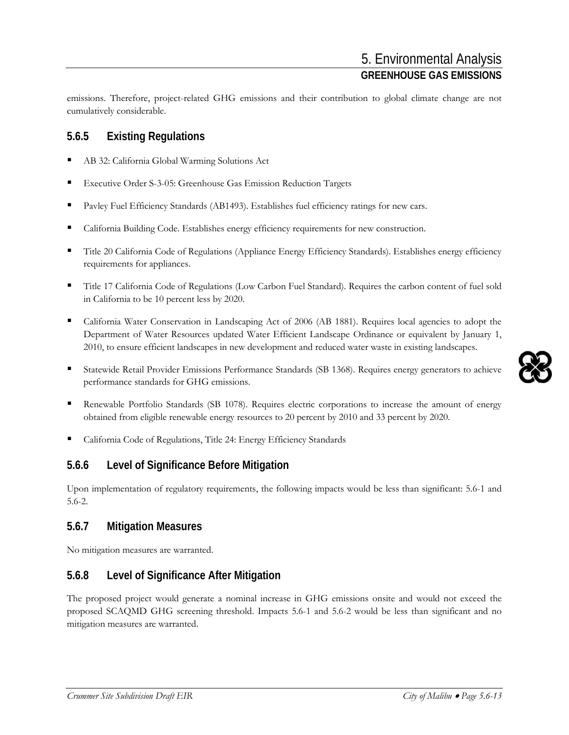emissions. Therefore, project-related GHG emissions and their contribution to global climate change are not cumulatively considerable.

# **5.6.5 Existing Regulations**

- AB 32: California Global Warming Solutions Act
- Executive Order S-3-05: Greenhouse Gas Emission Reduction Targets
- Pavley Fuel Efficiency Standards (AB1493). Establishes fuel efficiency ratings for new cars.
- California Building Code. Establishes energy efficiency requirements for new construction.
- Title 20 California Code of Regulations (Appliance Energy Efficiency Standards). Establishes energy efficiency requirements for appliances.
- Title 17 California Code of Regulations (Low Carbon Fuel Standard). Requires the carbon content of fuel sold in California to be 10 percent less by 2020.
- California Water Conservation in Landscaping Act of 2006 (AB 1881). Requires local agencies to adopt the Department of Water Resources updated Water Efficient Landscape Ordinance or equivalent by January 1, 2010, to ensure efficient landscapes in new development and reduced water waste in existing landscapes.
- Statewide Retail Provider Emissions Performance Standards (SB 1368). Requires energy generators to achieve performance standards for GHG emissions.
- Renewable Portfolio Standards (SB 1078). Requires electric corporations to increase the amount of energy obtained from eligible renewable energy resources to 20 percent by 2010 and 33 percent by 2020.
- California Code of Regulations, Title 24: Energy Efficiency Standards

# **5.6.6 Level of Significance Before Mitigation**

Upon implementation of regulatory requirements, the following impacts would be less than significant: 5.6-1 and 5.6-2.

# **5.6.7 Mitigation Measures**

No mitigation measures are warranted.

# **5.6.8 Level of Significance After Mitigation**

The proposed project would generate a nominal increase in GHG emissions onsite and would not exceed the proposed SCAQMD GHG screening threshold. Impacts 5.6-1 and 5.6-2 would be less than significant and no mitigation measures are warranted.